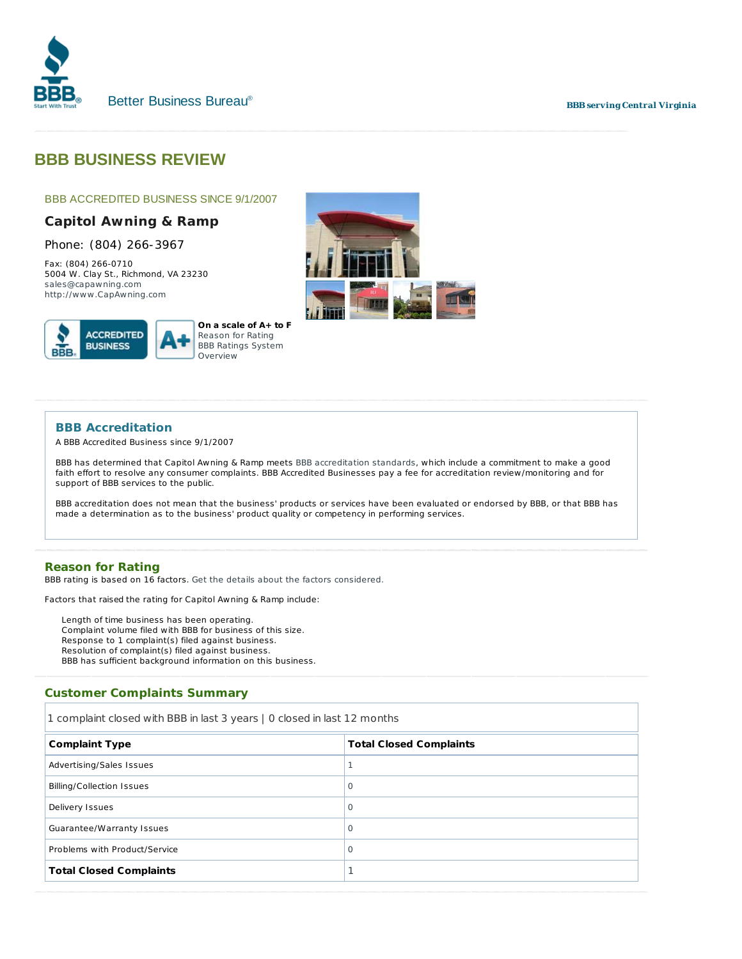

#### **BBB serving Central Virginia**

# **BBB BUSINESS REVIEW**

# BBB ACCREDITED BUSINESS SINCE 9/1/2007

# **Capitol Awning & Ramp**

Phone: (804) 266-3967

Fax: (804) 266-0710 5004 W. Clay St., Richmond, VA 23230 sales@capawning.com http://www .CapAwning.com





## **BBB Accreditation**

A BBB Accredited Business since 9/1/2007

BBB has determined that Capitol Awning & Ramp meets BBB accreditation standards, which include a commitment to make a good faith effort to resolve any consumer complaints. BBB Accredited Businesses pay a fee for accreditation review/monitoring and for support of BBB services to the public.

BBB accreditation does not mean that the business' products or services have been evaluated or endorsed by BBB, or that BBB has made a determination as to the business' product quality or competency in performing services.

#### **Reason for Rating**

BBB rating is based on 16 factors. Get the details about the factors considered.

Factors that *raised* the rating for Capitol Awning & Ramp include:

Length of time business has been operating. Complaint volume filed with BBB for business of this size. Response to 1 complaint(s) filed against business. Resolution of complaint(s) filed against business. BBB has sufficient background information on this business.

## **Customer Complaints Summary**

1 complaint closed with BBB in last 3 years | 0 closed in last 12 months

| <b>Complaint Type</b>            | <b>Total Closed Complaints</b> |
|----------------------------------|--------------------------------|
| Advertising/Sales Issues         |                                |
| <b>Billing/Collection Issues</b> | $\circ$                        |
| Delivery Issues                  | $\circ$                        |
| Guarantee/Warranty Issues        | $\circ$                        |
| Problems with Product/Service    | $\circ$                        |
| <b>Total Closed Complaints</b>   |                                |